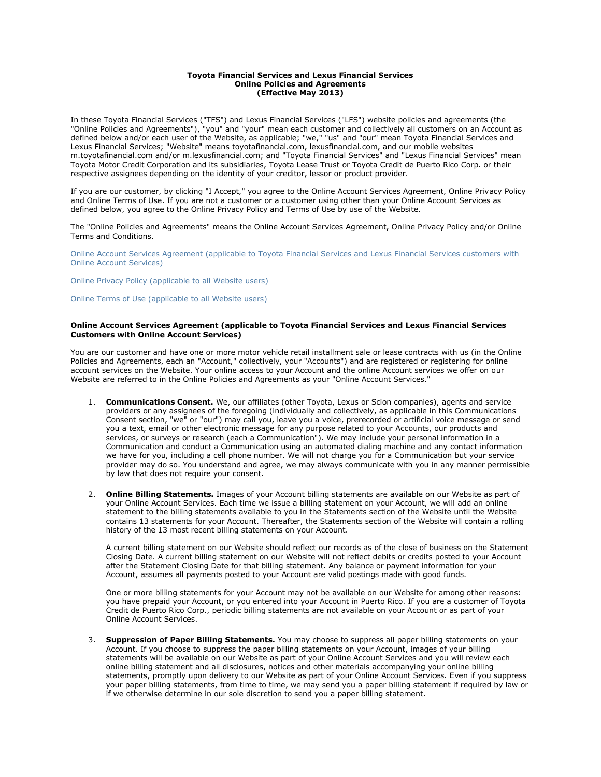### **Toyota Financial Services and Lexus Financial Services Online Policies and Agreements (Effective May 2013)**

In these Toyota Financial Services ("TFS") and Lexus Financial Services ("LFS") website policies and agreements (the "Online Policies and Agreements"), "you" and "your" mean each customer and collectively all customers on an Account as defined below and/or each user of the Website, as applicable; "we," "us" and "our" mean Toyota Financial Services and Lexus Financial Services; "Website" means toyotafinancial.com, lexusfinancial.com, and our mobile websites m.toyotafinancial.com and/or m.lexusfinancial.com; and "Toyota Financial Services" and "Lexus Financial Services" mean Toyota Motor Credit Corporation and its subsidiaries, Toyota Lease Trust or Toyota Credit de Puerto Rico Corp. or their respective assignees depending on the identity of your creditor, lessor or product provider.

If you are our customer, by clicking "I Accept," you agree to the Online Account Services Agreement, Online Privacy Policy and Online Terms of Use. If you are not a customer or a customer using other than your Online Account Services as defined below, you agree to the Online Privacy Policy and Terms of Use by use of the Website.

The "Online Policies and Agreements" means the Online Account Services Agreement, Online Privacy Policy and/or Online Terms and Conditions.

Online Account Services Agreement (applicable to Toyota Financial Services and Lexus Financial Services customers with Online Account Services)

Online Privacy Policy (applicable to all Website users)

Online Terms of Use (applicable to all Website users)

### **Online Account Services Agreement (applicable to Toyota Financial Services and Lexus Financial Services Customers with Online Account Services)**

You are our customer and have one or more motor vehicle retail installment sale or lease contracts with us (in the Online Policies and Agreements, each an "Account," collectively, your "Accounts") and are registered or registering for online account services on the Website. Your online access to your Account and the online Account services we offer on our Website are referred to in the Online Policies and Agreements as your "Online Account Services."

- 1. **Communications Consent.** We, our affiliates (other Toyota, Lexus or Scion companies), agents and service providers or any assignees of the foregoing (individually and collectively, as applicable in this Communications Consent section, "we" or "our") may call you, leave you a voice, prerecorded or artificial voice message or send you a text, email or other electronic message for any purpose related to your Accounts, our products and services, or surveys or research (each a Communication"). We may include your personal information in a Communication and conduct a Communication using an automated dialing machine and any contact information we have for you, including a cell phone number. We will not charge you for a Communication but your service provider may do so. You understand and agree, we may always communicate with you in any manner permissible by law that does not require your consent.
- 2. **Online Billing Statements.** Images of your Account billing statements are available on our Website as part of your Online Account Services. Each time we issue a billing statement on your Account, we will add an online statement to the billing statements available to you in the Statements section of the Website until the Website contains 13 statements for your Account. Thereafter, the Statements section of the Website will contain a rolling history of the 13 most recent billing statements on your Account.

A current billing statement on our Website should reflect our records as of the close of business on the Statement Closing Date. A current billing statement on our Website will not reflect debits or credits posted to your Account after the Statement Closing Date for that billing statement. Any balance or payment information for your Account, assumes all payments posted to your Account are valid postings made with good funds.

One or more billing statements for your Account may not be available on our Website for among other reasons: you have prepaid your Account, or you entered into your Account in Puerto Rico. If you are a customer of Toyota Credit de Puerto Rico Corp., periodic billing statements are not available on your Account or as part of your Online Account Services.

3. **Suppression of Paper Billing Statements.** You may choose to suppress all paper billing statements on your Account. If you choose to suppress the paper billing statements on your Account, images of your billing statements will be available on our Website as part of your Online Account Services and you will review each online billing statement and all disclosures, notices and other materials accompanying your online billing statements, promptly upon delivery to our Website as part of your Online Account Services. Even if you suppress your paper billing statements, from time to time, we may send you a paper billing statement if required by law or if we otherwise determine in our sole discretion to send you a paper billing statement.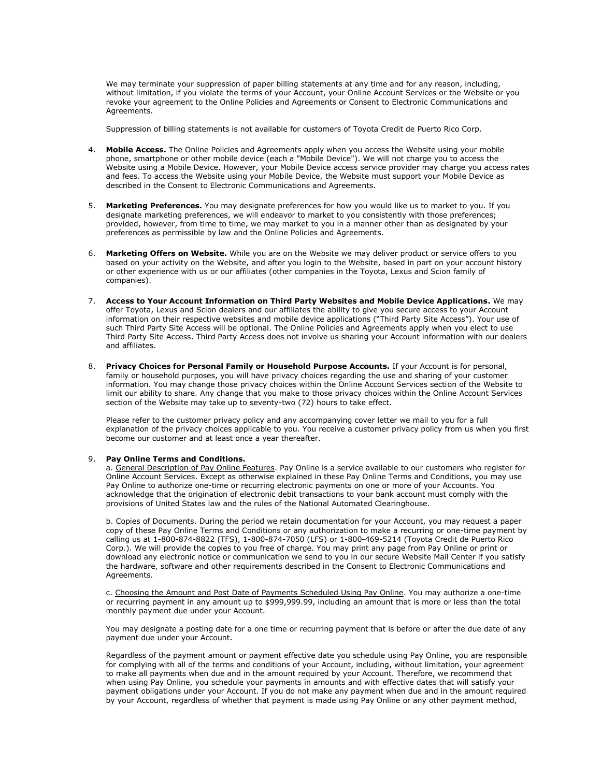We may terminate your suppression of paper billing statements at any time and for any reason, including, without limitation, if you violate the terms of your Account, your Online Account Services or the Website or you revoke your agreement to the Online Policies and Agreements or Consent to Electronic Communications and Agreements.

Suppression of billing statements is not available for customers of Toyota Credit de Puerto Rico Corp.

- 4. **Mobile Access.** The Online Policies and Agreements apply when you access the Website using your mobile phone, smartphone or other mobile device (each a "Mobile Device"). We will not charge you to access the Website using a Mobile Device. However, your Mobile Device access service provider may charge you access rates and fees. To access the Website using your Mobile Device, the Website must support your Mobile Device as described in the Consent to Electronic Communications and Agreements.
- 5. **Marketing Preferences.** You may designate preferences for how you would like us to market to you. If you designate marketing preferences, we will endeavor to market to you consistently with those preferences; provided, however, from time to time, we may market to you in a manner other than as designated by your preferences as permissible by law and the Online Policies and Agreements.
- 6. **Marketing Offers on Website.** While you are on the Website we may deliver product or service offers to you based on your activity on the Website, and after you login to the Website, based in part on your account history or other experience with us or our affiliates (other companies in the Toyota, Lexus and Scion family of companies).
- 7. **Access to Your Account Information on Third Party Websites and Mobile Device Applications.** We may offer Toyota, Lexus and Scion dealers and our affiliates the ability to give you secure access to your Account information on their respective websites and mobile device applications ("Third Party Site Access"). Your use of such Third Party Site Access will be optional. The Online Policies and Agreements apply when you elect to use Third Party Site Access. Third Party Access does not involve us sharing your Account information with our dealers and affiliates.
- 8. **Privacy Choices for Personal Family or Household Purpose Accounts.** If your Account is for personal, family or household purposes, you will have privacy choices regarding the use and sharing of your customer information. You may change those privacy choices within the Online Account Services section of the Website to limit our ability to share. Any change that you make to those privacy choices within the Online Account Services section of the Website may take up to seventy-two (72) hours to take effect.

Please refer to the customer privacy policy and any accompanying cover letter we mail to you for a full explanation of the privacy choices applicable to you. You receive a customer privacy policy from us when you first become our customer and at least once a year thereafter.

## 9. **Pay Online Terms and Conditions.**

a. General Description of Pay Online Features. Pay Online is a service available to our customers who register for Online Account Services. Except as otherwise explained in these Pay Online Terms and Conditions, you may use Pay Online to authorize one-time or recurring electronic payments on one or more of your Accounts. You acknowledge that the origination of electronic debit transactions to your bank account must comply with the provisions of United States law and the rules of the National Automated Clearinghouse.

b. Copies of Documents. During the period we retain documentation for your Account, you may request a paper copy of these Pay Online Terms and Conditions or any authorization to make a recurring or one-time payment by calling us at 1-800-874-8822 (TFS), 1-800-874-7050 (LFS) or 1-800-469-5214 (Toyota Credit de Puerto Rico Corp.). We will provide the copies to you free of charge. You may print any page from Pay Online or print or download any electronic notice or communication we send to you in our secure Website Mail Center if you satisfy the hardware, software and other requirements described in the Consent to Electronic Communications and Agreements.

c. Choosing the Amount and Post Date of Payments Scheduled Using Pay Online. You may authorize a one-time or recurring payment in any amount up to \$999,999.99, including an amount that is more or less than the total monthly payment due under your Account.

You may designate a posting date for a one time or recurring payment that is before or after the due date of any payment due under your Account.

Regardless of the payment amount or payment effective date you schedule using Pay Online, you are responsible for complying with all of the terms and conditions of your Account, including, without limitation, your agreement to make all payments when due and in the amount required by your Account. Therefore, we recommend that when using Pay Online, you schedule your payments in amounts and with effective dates that will satisfy your payment obligations under your Account. If you do not make any payment when due and in the amount required by your Account, regardless of whether that payment is made using Pay Online or any other payment method,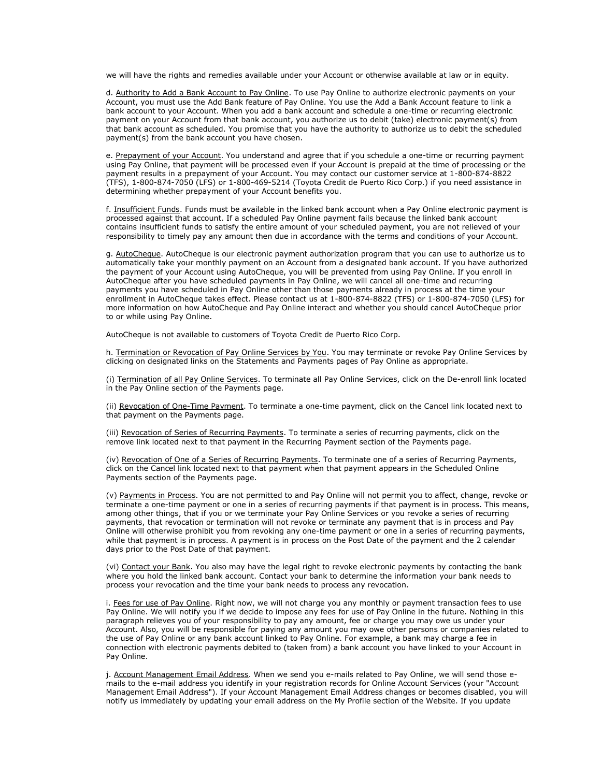we will have the rights and remedies available under your Account or otherwise available at law or in equity.

d. Authority to Add a Bank Account to Pay Online. To use Pay Online to authorize electronic payments on your Account, you must use the Add Bank feature of Pay Online. You use the Add a Bank Account feature to link a bank account to your Account. When you add a bank account and schedule a one-time or recurring electronic payment on your Account from that bank account, you authorize us to debit (take) electronic payment(s) from that bank account as scheduled. You promise that you have the authority to authorize us to debit the scheduled payment(s) from the bank account you have chosen.

e. Prepayment of your Account. You understand and agree that if you schedule a one-time or recurring payment using Pay Online, that payment will be processed even if your Account is prepaid at the time of processing or the payment results in a prepayment of your Account. You may contact our customer service at 1-800-874-8822 (TFS), 1-800-874-7050 (LFS) or 1-800-469-5214 (Toyota Credit de Puerto Rico Corp.) if you need assistance in determining whether prepayment of your Account benefits you.

f. Insufficient Funds. Funds must be available in the linked bank account when a Pay Online electronic payment is processed against that account. If a scheduled Pay Online payment fails because the linked bank account contains insufficient funds to satisfy the entire amount of your scheduled payment, you are not relieved of your responsibility to timely pay any amount then due in accordance with the terms and conditions of your Account.

g. AutoCheque. AutoCheque is our electronic payment authorization program that you can use to authorize us to automatically take your monthly payment on an Account from a designated bank account. If you have authorized the payment of your Account using AutoCheque, you will be prevented from using Pay Online. If you enroll in AutoCheque after you have scheduled payments in Pay Online, we will cancel all one-time and recurring payments you have scheduled in Pay Online other than those payments already in process at the time your enrollment in AutoCheque takes effect. Please contact us at 1-800-874-8822 (TFS) or 1-800-874-7050 (LFS) for more information on how AutoCheque and Pay Online interact and whether you should cancel AutoCheque prior to or while using Pay Online.

AutoCheque is not available to customers of Toyota Credit de Puerto Rico Corp.

h. Termination or Revocation of Pay Online Services by You. You may terminate or revoke Pay Online Services by clicking on designated links on the Statements and Payments pages of Pay Online as appropriate.

(i) Termination of all Pay Online Services. To terminate all Pay Online Services, click on the De-enroll link located in the Pay Online section of the Payments page.

(ii) Revocation of One-Time Payment. To terminate a one-time payment, click on the Cancel link located next to that payment on the Payments page.

(iii) Revocation of Series of Recurring Payments. To terminate a series of recurring payments, click on the remove link located next to that payment in the Recurring Payment section of the Payments page.

(iv) Revocation of One of a Series of Recurring Payments. To terminate one of a series of Recurring Payments, click on the Cancel link located next to that payment when that payment appears in the Scheduled Online Payments section of the Payments page.

(v) Payments in Process. You are not permitted to and Pay Online will not permit you to affect, change, revoke or terminate a one-time payment or one in a series of recurring payments if that payment is in process. This means, among other things, that if you or we terminate your Pay Online Services or you revoke a series of recurring payments, that revocation or termination will not revoke or terminate any payment that is in process and Pay Online will otherwise prohibit you from revoking any one-time payment or one in a series of recurring payments, while that payment is in process. A payment is in process on the Post Date of the payment and the 2 calendar days prior to the Post Date of that payment.

(vi) Contact your Bank. You also may have the legal right to revoke electronic payments by contacting the bank where you hold the linked bank account. Contact your bank to determine the information your bank needs to process your revocation and the time your bank needs to process any revocation.

i. Fees for use of Pay Online. Right now, we will not charge you any monthly or payment transaction fees to use Pay Online. We will notify you if we decide to impose any fees for use of Pay Online in the future. Nothing in this paragraph relieves you of your responsibility to pay any amount, fee or charge you may owe us under your Account. Also, you will be responsible for paying any amount you may owe other persons or companies related to the use of Pay Online or any bank account linked to Pay Online. For example, a bank may charge a fee in connection with electronic payments debited to (taken from) a bank account you have linked to your Account in Pay Online.

j. Account Management Email Address. When we send you e-mails related to Pay Online, we will send those emails to the e-mail address you identify in your registration records for Online Account Services (your "Account Management Email Address"). If your Account Management Email Address changes or becomes disabled, you will notify us immediately by updating your email address on the My Profile section of the Website. If you update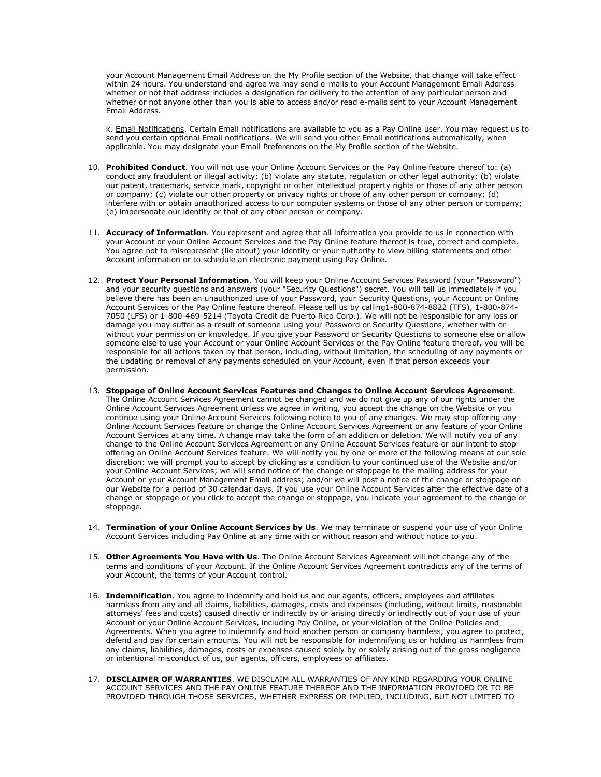your Account Management Email Address on the My Profile section of the Website, that change will take effect within 24 hours. You understand and agree we may send e-mails to your Account Management Email Address whether or not that address includes a designation for delivery to the attention of any particular person and whether or not anyone other than you is able to access and/or read e-mails sent to your Account Management Email Address.

k. Email Notifications. Certain Email notifications are available to you as a Pay Online user. You may request us to send you certain optional Email notifications. We will send you other Email notifications automatically, when applicable. You may designate your Email Preferences on the My Profile section of the Website.

- 10. **Prohibited Conduct**. You will not use your Online Account Services or the Pay Online feature thereof to: (a) conduct any fraudulent or illegal activity; (b) violate any statute, regulation or other legal authority; (b) violate our patent, trademark, service mark, copyright or other intellectual property rights or those of any other person or company; (c) violate our other property or privacy rights or those of any other person or company; (d) interfere with or obtain unauthorized access to our computer systems or those of any other person or company; (e) impersonate our identity or that of any other person or company.
- 11. **Accuracy of Information**. You represent and agree that all information you provide to us in connection with your Account or your Online Account Services and the Pay Online feature thereof is true, correct and complete. You agree not to misrepresent (lie about) your identity or your authority to view billing statements and other Account information or to schedule an electronic payment using Pay Online.
- 12. **Protect Your Personal Information**. You will keep your Online Account Services Password (your "Password") and your security questions and answers (your "Security Questions") secret. You will tell us immediately if you believe there has been an unauthorized use of your Password, your Security Questions, your Account or Online Account Services or the Pay Online feature thereof. Please tell us by calling1-800-874-8822 (TFS), 1-800-874- 7050 (LFS) or 1-800-469-5214 (Toyota Credit de Puerto Rico Corp.). We will not be responsible for any loss or damage you may suffer as a result of someone using your Password or Security Questions, whether with or without your permission or knowledge. If you give your Password or Security Questions to someone else or allow someone else to use your Account or your Online Account Services or the Pay Online feature thereof, you will be responsible for all actions taken by that person, including, without limitation, the scheduling of any payments or the updating or removal of any payments scheduled on your Account, even if that person exceeds your permission.
- 13. **Stoppage of Online Account Services Features and Changes to Online Account Services Agreement**. The Online Account Services Agreement cannot be changed and we do not give up any of our rights under the Online Account Services Agreement unless we agree in writing, you accept the change on the Website or you continue using your Online Account Services following notice to you of any changes. We may stop offering any Online Account Services feature or change the Online Account Services Agreement or any feature of your Online Account Services at any time. A change may take the form of an addition or deletion. We will notify you of any change to the Online Account Services Agreement or any Online Account Services feature or our intent to stop offering an Online Account Services feature. We will notify you by one or more of the following means at our sole discretion: we will prompt you to accept by clicking as a condition to your continued use of the Website and/or your Online Account Services; we will send notice of the change or stoppage to the mailing address for your Account or your Account Management Email address; and/or we will post a notice of the change or stoppage on our Website for a period of 30 calendar days. If you use your Online Account Services after the effective date of a change or stoppage or you click to accept the change or stoppage, you indicate your agreement to the change or stoppage.
- 14. **Termination of your Online Account Services by Us**. We may terminate or suspend your use of your Online Account Services including Pay Online at any time with or without reason and without notice to you.
- 15. **Other Agreements You Have with Us**. The Online Account Services Agreement will not change any of the terms and conditions of your Account. If the Online Account Services Agreement contradicts any of the terms of your Account, the terms of your Account control.
- 16. **Indemnification**. You agree to indemnify and hold us and our agents, officers, employees and affiliates harmless from any and all claims, liabilities, damages, costs and expenses (including, without limits, reasonable attorneys' fees and costs) caused directly or indirectly by or arising directly or indirectly out of your use of your Account or your Online Account Services, including Pay Online, or your violation of the Online Policies and Agreements. When you agree to indemnify and hold another person or company harmless, you agree to protect, defend and pay for certain amounts. You will not be responsible for indemnifying us or holding us harmless from any claims, liabilities, damages, costs or expenses caused solely by or solely arising out of the gross negligence or intentional misconduct of us, our agents, officers, employees or affiliates.
- 17. **DISCLAIMER OF WARRANTIES**. WE DISCLAIM ALL WARRANTIES OF ANY KIND REGARDING YOUR ONLINE ACCOUNT SERVICES AND THE PAY ONLINE FEATURE THEREOF AND THE INFORMATION PROVIDED OR TO BE PROVIDED THROUGH THOSE SERVICES, WHETHER EXPRESS OR IMPLIED, INCLUDING, BUT NOT LIMITED TO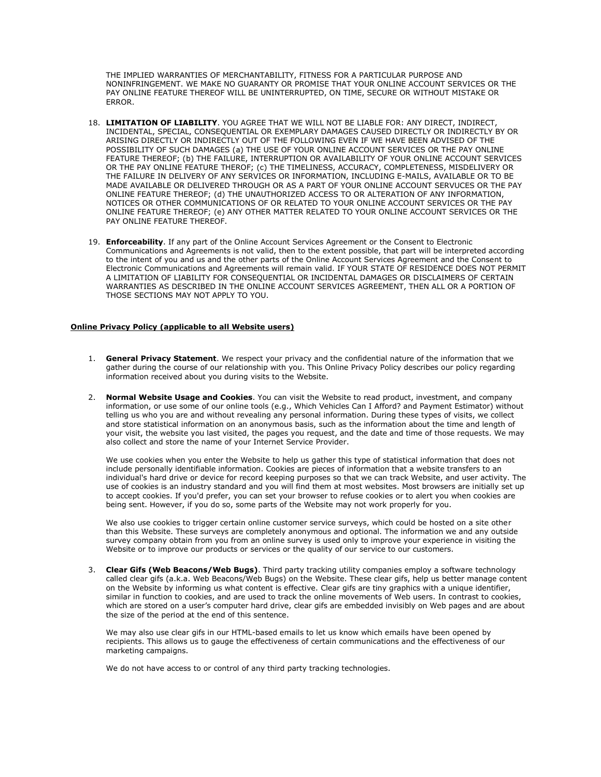THE IMPLIED WARRANTIES OF MERCHANTABILITY, FITNESS FOR A PARTICULAR PURPOSE AND NONINFRINGEMENT. WE MAKE NO GUARANTY OR PROMISE THAT YOUR ONLINE ACCOUNT SERVICES OR THE PAY ONLINE FEATURE THEREOF WILL BE UNINTERRUPTED, ON TIME, SECURE OR WITHOUT MISTAKE OR ERROR.

- 18. **LIMITATION OF LIABILITY**. YOU AGREE THAT WE WILL NOT BE LIABLE FOR: ANY DIRECT, INDIRECT, INCIDENTAL, SPECIAL, CONSEQUENTIAL OR EXEMPLARY DAMAGES CAUSED DIRECTLY OR INDIRECTLY BY OR ARISING DIRECTLY OR INDIRECTLY OUT OF THE FOLLOWING EVEN IF WE HAVE BEEN ADVISED OF THE POSSIBILITY OF SUCH DAMAGES (a) THE USE OF YOUR ONLINE ACCOUNT SERVICES OR THE PAY ONLINE FEATURE THEREOF; (b) THE FAILURE, INTERRUPTION OR AVAILABILITY OF YOUR ONLINE ACCOUNT SERVICES OR THE PAY ONLINE FEATURE THEROF; (c) THE TIMELINESS, ACCURACY, COMPLETENESS, MISDELIVERY OR THE FAILURE IN DELIVERY OF ANY SERVICES OR INFORMATION, INCLUDING E-MAILS, AVAILABLE OR TO BE MADE AVAILABLE OR DELIVERED THROUGH OR AS A PART OF YOUR ONLINE ACCOUNT SERVUCES OR THE PAY ONLINE FEATURE THEREOF; (d) THE UNAUTHORIZED ACCESS TO OR ALTERATION OF ANY INFORMATION, NOTICES OR OTHER COMMUNICATIONS OF OR RELATED TO YOUR ONLINE ACCOUNT SERVICES OR THE PAY ONLINE FEATURE THEREOF; (e) ANY OTHER MATTER RELATED TO YOUR ONLINE ACCOUNT SERVICES OR THE PAY ONLINE FEATURE THEREOF.
- 19. **Enforceability**. If any part of the Online Account Services Agreement or the Consent to Electronic Communications and Agreements is not valid, then to the extent possible, that part will be interpreted according to the intent of you and us and the other parts of the Online Account Services Agreement and the Consent to Electronic Communications and Agreements will remain valid. IF YOUR STATE OF RESIDENCE DOES NOT PERMIT A LIMITATION OF LIABILITY FOR CONSEQUENTIAL OR INCIDENTAL DAMAGES OR DISCLAIMERS OF CERTAIN WARRANTIES AS DESCRIBED IN THE ONLINE ACCOUNT SERVICES AGREEMENT, THEN ALL OR A PORTION OF THOSE SECTIONS MAY NOT APPLY TO YOU.

# **Online Privacy Policy (applicable to all Website users)**

- 1. **General Privacy Statement**. We respect your privacy and the confidential nature of the information that we gather during the course of our relationship with you. This Online Privacy Policy describes our policy regarding information received about you during visits to the Website.
- 2. **Normal Website Usage and Cookies**. You can visit the Website to read product, investment, and company information, or use some of our online tools (e.g., Which Vehicles Can I Afford? and Payment Estimator) without telling us who you are and without revealing any personal information. During these types of visits, we collect and store statistical information on an anonymous basis, such as the information about the time and length of your visit, the website you last visited, the pages you request, and the date and time of those requests. We may also collect and store the name of your Internet Service Provider.

We use cookies when you enter the Website to help us gather this type of statistical information that does not include personally identifiable information. Cookies are pieces of information that a website transfers to an individual's hard drive or device for record keeping purposes so that we can track Website, and user activity. The use of cookies is an industry standard and you will find them at most websites. Most browsers are initially set up to accept cookies. If you'd prefer, you can set your browser to refuse cookies or to alert you when cookies are being sent. However, if you do so, some parts of the Website may not work properly for you.

We also use cookies to trigger certain online customer service surveys, which could be hosted on a site other than this Website. These surveys are completely anonymous and optional. The information we and any outside survey company obtain from you from an online survey is used only to improve your experience in visiting the Website or to improve our products or services or the quality of our service to our customers.

3. **Clear Gifs (Web Beacons/Web Bugs)**. Third party tracking utility companies employ a software technology called clear gifs (a.k.a. Web Beacons/Web Bugs) on the Website. These clear gifs, help us better manage content on the Website by informing us what content is effective. Clear gifs are tiny graphics with a unique identifier, similar in function to cookies, and are used to track the online movements of Web users. In contrast to cookies, which are stored on a user's computer hard drive, clear gifs are embedded invisibly on Web pages and are about the size of the period at the end of this sentence.

We may also use clear gifs in our HTML-based emails to let us know which emails have been opened by recipients. This allows us to gauge the effectiveness of certain communications and the effectiveness of our marketing campaigns.

We do not have access to or control of any third party tracking technologies.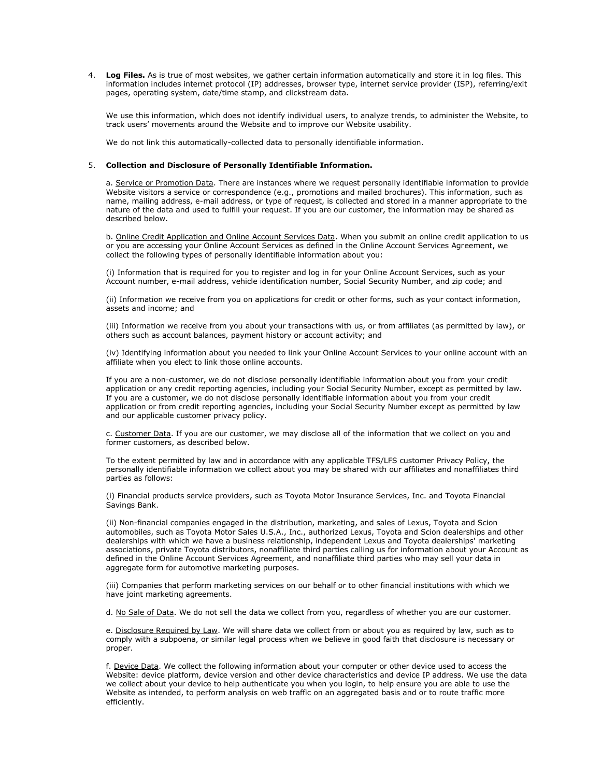4. **Log Files.** As is true of most websites, we gather certain information automatically and store it in log files. This information includes internet protocol (IP) addresses, browser type, internet service provider (ISP), referring/exit pages, operating system, date/time stamp, and clickstream data.

We use this information, which does not identify individual users, to analyze trends, to administer the Website, to track users' movements around the Website and to improve our Website usability.

We do not link this automatically-collected data to personally identifiable information.

### 5. **Collection and Disclosure of Personally Identifiable Information.**

a. Service or Promotion Data. There are instances where we request personally identifiable information to provide Website visitors a service or correspondence (e.g., promotions and mailed brochures). This information, such as name, mailing address, e-mail address, or type of request, is collected and stored in a manner appropriate to the nature of the data and used to fulfill your request. If you are our customer, the information may be shared as described below.

b. Online Credit Application and Online Account Services Data. When you submit an online credit application to us or you are accessing your Online Account Services as defined in the Online Account Services Agreement, we collect the following types of personally identifiable information about you:

(i) Information that is required for you to register and log in for your Online Account Services, such as your Account number, e-mail address, vehicle identification number, Social Security Number, and zip code; and

(ii) Information we receive from you on applications for credit or other forms, such as your contact information, assets and income; and

(iii) Information we receive from you about your transactions with us, or from affiliates (as permitted by law), or others such as account balances, payment history or account activity; and

(iv) Identifying information about you needed to link your Online Account Services to your online account with an affiliate when you elect to link those online accounts.

If you are a non-customer, we do not disclose personally identifiable information about you from your credit application or any credit reporting agencies, including your Social Security Number, except as permitted by law. If you are a customer, we do not disclose personally identifiable information about you from your credit application or from credit reporting agencies, including your Social Security Number except as permitted by law and our applicable customer privacy policy.

c. Customer Data. If you are our customer, we may disclose all of the information that we collect on you and former customers, as described below.

To the extent permitted by law and in accordance with any applicable TFS/LFS customer Privacy Policy, the personally identifiable information we collect about you may be shared with our affiliates and nonaffiliates third parties as follows:

(i) Financial products service providers, such as Toyota Motor Insurance Services, Inc. and Toyota Financial Savings Bank.

(ii) Non-financial companies engaged in the distribution, marketing, and sales of Lexus, Toyota and Scion automobiles, such as Toyota Motor Sales U.S.A., Inc., authorized Lexus, Toyota and Scion dealerships and other dealerships with which we have a business relationship, independent Lexus and Toyota dealerships' marketing associations, private Toyota distributors, nonaffiliate third parties calling us for information about your Account as defined in the Online Account Services Agreement, and nonaffiliate third parties who may sell your data in aggregate form for automotive marketing purposes.

(iii) Companies that perform marketing services on our behalf or to other financial institutions with which we have joint marketing agreements.

d. No Sale of Data. We do not sell the data we collect from you, regardless of whether you are our customer.

e. Disclosure Required by Law. We will share data we collect from or about you as required by law, such as to comply with a subpoena, or similar legal process when we believe in good faith that disclosure is necessary or proper.

f. Device Data. We collect the following information about your computer or other device used to access the Website: device platform, device version and other device characteristics and device IP address. We use the data we collect about your device to help authenticate you when you login, to help ensure you are able to use the Website as intended, to perform analysis on web traffic on an aggregated basis and or to route traffic more efficiently.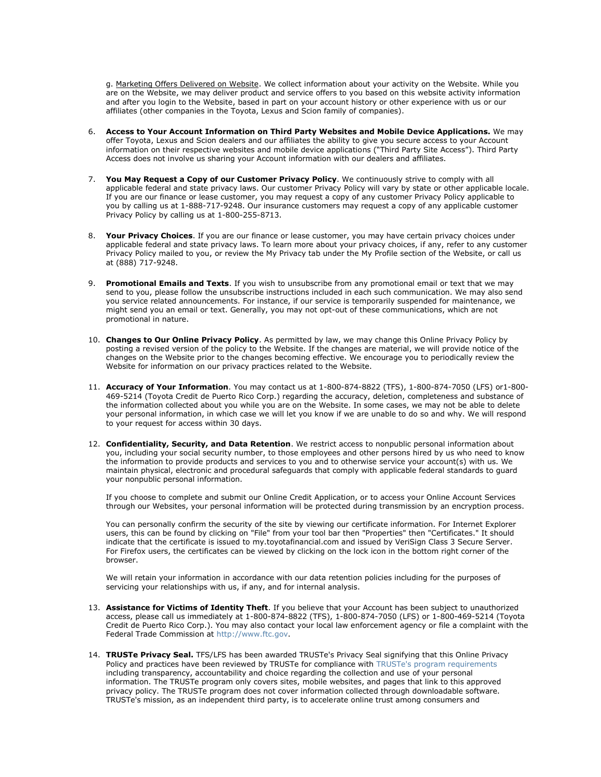g. Marketing Offers Delivered on Website. We collect information about your activity on the Website. While you are on the Website, we may deliver product and service offers to you based on this website activity information and after you login to the Website, based in part on your account history or other experience with us or our affiliates (other companies in the Toyota, Lexus and Scion family of companies).

- 6. **Access to Your Account Information on Third Party Websites and Mobile Device Applications.** We may offer Toyota, Lexus and Scion dealers and our affiliates the ability to give you secure access to your Account information on their respective websites and mobile device applications ("Third Party Site Access"). Third Party Access does not involve us sharing your Account information with our dealers and affiliates.
- 7. **You May Request a Copy of our Customer Privacy Policy**. We continuously strive to comply with all applicable federal and state privacy laws. Our customer Privacy Policy will vary by state or other applicable locale. If you are our finance or lease customer, you may request a copy of any customer Privacy Policy applicable to you by calling us at 1-888-717-9248. Our insurance customers may request a copy of any applicable customer Privacy Policy by calling us at 1-800-255-8713.
- 8. **Your Privacy Choices**. If you are our finance or lease customer, you may have certain privacy choices under applicable federal and state privacy laws. To learn more about your privacy choices, if any, refer to any customer Privacy Policy mailed to you, or review the My Privacy tab under the My Profile section of the Website, or call us at (888) 717-9248.
- 9. **Promotional Emails and Texts**. If you wish to unsubscribe from any promotional email or text that we may send to you, please follow the unsubscribe instructions included in each such communication. We may also send you service related announcements. For instance, if our service is temporarily suspended for maintenance, we might send you an email or text. Generally, you may not opt-out of these communications, which are not promotional in nature.
- 10. **Changes to Our Online Privacy Policy**. As permitted by law, we may change this Online Privacy Policy by posting a revised version of the policy to the Website. If the changes are material, we will provide notice of the changes on the Website prior to the changes becoming effective. We encourage you to periodically review the Website for information on our privacy practices related to the Website.
- 11. **Accuracy of Your Information**. You may contact us at 1-800-874-8822 (TFS), 1-800-874-7050 (LFS) or1-800- 469-5214 (Toyota Credit de Puerto Rico Corp.) regarding the accuracy, deletion, completeness and substance of the information collected about you while you are on the Website. In some cases, we may not be able to delete your personal information, in which case we will let you know if we are unable to do so and why. We will respond to your request for access within 30 days.
- 12. **Confidentiality, Security, and Data Retention**. We restrict access to nonpublic personal information about you, including your social security number, to those employees and other persons hired by us who need to know the information to provide products and services to you and to otherwise service your account(s) with us. We maintain physical, electronic and procedural safeguards that comply with applicable federal standards to guard your nonpublic personal information.

If you choose to complete and submit our Online Credit Application, or to access your Online Account Services through our Websites, your personal information will be protected during transmission by an encryption process.

You can personally confirm the security of the site by viewing our certificate information. For Internet Explorer users, this can be found by clicking on "File" from your tool bar then "Properties" then "Certificates." It should indicate that the certificate is issued to my.toyotafinancial.com and issued by VeriSign Class 3 Secure Server. For Firefox users, the certificates can be viewed by clicking on the lock icon in the bottom right corner of the browser.

We will retain your information in accordance with our data retention policies including for the purposes of servicing your relationships with us, if any, and for internal analysis.

- 13. **Assistance for Victims of Identity Theft**. If you believe that your Account has been subject to unauthorized access, please call us immediately at 1-800-874-8822 (TFS), 1-800-874-7050 (LFS) or 1-800-469-5214 (Toyota Credit de Puerto Rico Corp.). You may also contact your local law enforcement agency or file a complaint with the Federal Trade Commission at http://www.ftc.gov.
- 14. **TRUSTe Privacy Seal.** TFS/LFS has been awarded TRUSTe's Privacy Seal signifying that this Online Privacy Policy and practices have been reviewed by TRUSTe for compliance with TRUSTe's program requirements including transparency, accountability and choice regarding the collection and use of your personal information. The TRUSTe program only covers sites, mobile websites, and pages that link to this approved privacy policy. The TRUSTe program does not cover information collected through downloadable software. TRUSTe's mission, as an independent third party, is to accelerate online trust among consumers and